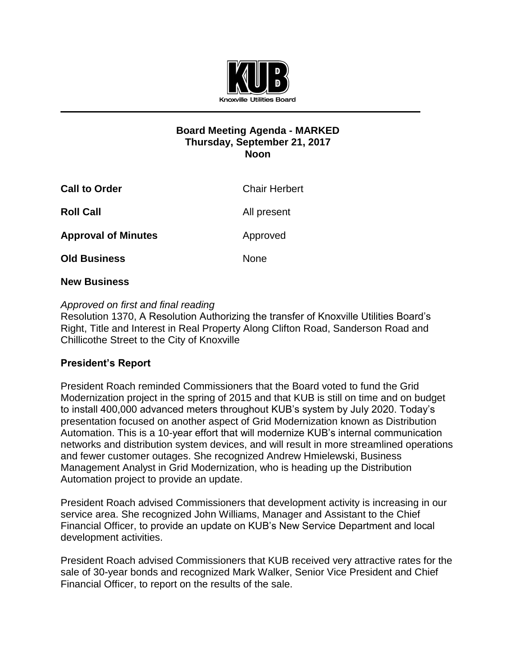

### **Board Meeting Agenda - MARKED Thursday, September 21, 2017 Noon**

| <b>Call to Order</b>       | <b>Chair Herbert</b> |
|----------------------------|----------------------|
| <b>Roll Call</b>           | All present          |
| <b>Approval of Minutes</b> | Approved             |
| <b>Old Business</b>        | None                 |

### **New Business**

## *Approved on first and final reading*

Resolution 1370, A Resolution Authorizing the transfer of Knoxville Utilities Board's Right, Title and Interest in Real Property Along Clifton Road, Sanderson Road and Chillicothe Street to the City of Knoxville

# **President's Report**

President Roach reminded Commissioners that the Board voted to fund the Grid Modernization project in the spring of 2015 and that KUB is still on time and on budget to install 400,000 advanced meters throughout KUB's system by July 2020. Today's presentation focused on another aspect of Grid Modernization known as Distribution Automation. This is a 10-year effort that will modernize KUB's internal communication networks and distribution system devices, and will result in more streamlined operations and fewer customer outages. She recognized Andrew Hmielewski, Business Management Analyst in Grid Modernization, who is heading up the Distribution Automation project to provide an update.

President Roach advised Commissioners that development activity is increasing in our service area. She recognized John Williams, Manager and Assistant to the Chief Financial Officer, to provide an update on KUB's New Service Department and local development activities.

President Roach advised Commissioners that KUB received very attractive rates for the sale of 30-year bonds and recognized Mark Walker, Senior Vice President and Chief Financial Officer, to report on the results of the sale.